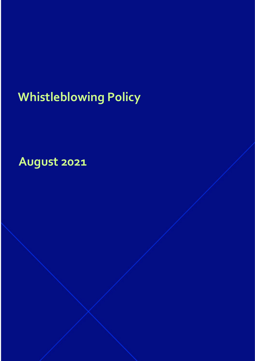# **Whistleblowing Policy**

**August 2021**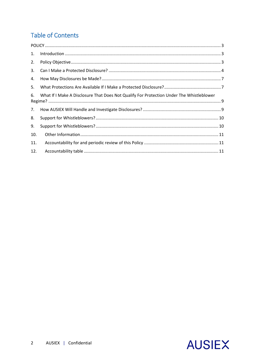# **Table of Contents**

| 1.  | $\label{eq:interadd} \text{Introduction} \,\, \ldots \,\, \ldots \,\, \ldots \,\, \ldots \,\, \ldots \,\, \ldots \,\, \ldots \,\, \ldots \,\, \ldots \,\, \ldots \,\, \ldots \,\, \ldots \,\, \ldots \,\, \ldots \,\, \ldots \,\, \ldots \,\, \ldots \,\, \ldots \,\, \ldots \,\, \ldots \,\, \ldots \,\, \ldots \,\, \ldots \,\, \ldots \,\, \ldots \,\, \ldots \,\, \ldots \,\, \ldots \,\, \ldots \,\, \ldots \,\, \ldots \,\, \ldots \,\, \ldots \,\, \ldots \,\,$ |  |
|-----|------------------------------------------------------------------------------------------------------------------------------------------------------------------------------------------------------------------------------------------------------------------------------------------------------------------------------------------------------------------------------------------------------------------------------------------------------------------------|--|
| 2.  |                                                                                                                                                                                                                                                                                                                                                                                                                                                                        |  |
| 3.  |                                                                                                                                                                                                                                                                                                                                                                                                                                                                        |  |
| 4.  |                                                                                                                                                                                                                                                                                                                                                                                                                                                                        |  |
| 5.  |                                                                                                                                                                                                                                                                                                                                                                                                                                                                        |  |
| 6.  | What If I Make A Disclosure That Does Not Qualify For Protection Under The Whistleblower                                                                                                                                                                                                                                                                                                                                                                               |  |
| 7.  |                                                                                                                                                                                                                                                                                                                                                                                                                                                                        |  |
| 8.  |                                                                                                                                                                                                                                                                                                                                                                                                                                                                        |  |
| 9.  |                                                                                                                                                                                                                                                                                                                                                                                                                                                                        |  |
| 10. |                                                                                                                                                                                                                                                                                                                                                                                                                                                                        |  |
| 11. |                                                                                                                                                                                                                                                                                                                                                                                                                                                                        |  |
| 12. |                                                                                                                                                                                                                                                                                                                                                                                                                                                                        |  |

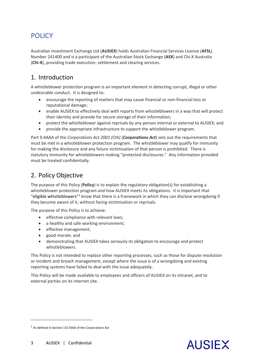# <span id="page-2-0"></span>**POLICY**

Australian Investment Exchange Ltd (**AUSIEX**) holds Australian Financial Services Licence (**AFSL**) Number 241400 and is a participant of the Australian Stock Exchange (**ASX**) and Chi-X Australia (**Chi-X**), providing trade execution, settlement and clearing services.

# <span id="page-2-1"></span>1. Introduction

A whistleblower protection program is an important element in detecting corrupt, illegal or other undesirable conduct. It is designed to:

- encourage the reporting of matters that may cause financial or non-financial loss or reputational damage;
- enable AUSIEX to effectively deal with reports from whistleblowers in a way that will protect their identity and provide for secure storage of their information;
- protect the whistleblower against reprisals by any person internal or external to AUSIEX; and
- provide the appropriate infrastructure to support the whistleblower program.

Part 9.4AAA of the *Corporations Act 2001 (Cth)* (*Corporations Act*) sets out the requirements that must be met in a whistleblower protection program. The whistleblower may qualify for immunity for making the disclosure and any future victimisation of that person is prohibited. There is statutory immunity for whistleblowers making "protected disclosures." Any information provided must be treated confidentially.

# <span id="page-2-2"></span>2. Policy Objective

The purpose of this Policy (**Policy**) is to explain the regulatory obligation(s) for establishing a whistleblower protection program and how AUSIEX meets its obligations. It is important that "eligible whistleblowers" $1$  know that there is a framework in which they can disclose wrongdoing if they become aware of it, without facing victimisation or reprisals.

The purpose of this Policy is to achieve:

- effective compliance with relevant laws;
- a healthy and safe working environment;
- effective management;
- good morale; and
- demonstrating that AUSIEX takes seriously its obligation to encourage and protect whistleblowers.

This Policy is not intended to replace other reporting processes, such as those for dispute resolution or incident and breach management, except where the issue is of a wrongdoing and existing reporting systems have failed to deal with the issue adequately.

This Policy will be made available to employees and officers of AUSIEX on its intranet, and to external parties on its internet site.

 $\overline{a}$ 



<span id="page-2-3"></span> $1$  As defined in Section 1317AAA of the Corporations Act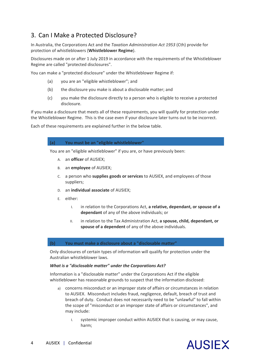# <span id="page-3-0"></span>3. Can I Make a Protected Disclosure?

In Australia, the Corporations Act and the *Taxation Administration Act 1953* (Cth) provide for protection of whistleblowers (**Whistleblower Regime**).

Disclosures made on or after 1 July 2019 in accordance with the requirements of the Whistleblower Regime are called "protected disclosures".

You can make a "protected disclosure" under the Whistleblower Regime if:

- (a) you are an "eligible whistleblower"; and
- (b) the disclosure you make is about a disclosable matter; and
- (c) you make the disclosure directly to a person who is eligible to receive a protected disclosure.

If you make a disclosure that meets all of these requirements, you will qualify for protection under the Whistleblower Regime. This is the case even if your disclosure later turns out to be incorrect.

Each of these requirements are explained further in the below table.

## **(a) You must be an "eligible whistleblower"**

You are an "eligible whistleblower" if you are, or have previously been:

- A. an **officer** of AUSIEX;
- B. an **employee** of AUSIEX;
- C. a person who **supplies goods or services** to AUSIEX, and employees of those suppliers;
- D. an **individual associate** of AUSIEX;
- E. either:
	- I. in relation to the Corporations Act, **a relative, dependant, or spouse of a dependant** of any of the above individuals; or
	- II. in relation to the Tax Administration Act, **a spouse, child, dependant, or spouse of a dependent** of any of the above individuals.

## **(b) You must make a disclosure about a "disclosable matter"**

Only disclosures of certain types of information will qualify for protection under the Australian whistleblower laws.

## *What is a "disclosable matter" under the Corporations Act?*

Information is a "disclosable matter" under the Corporations Act if the eligible whistleblower has reasonable grounds to suspect that the information disclosed:

- a) concerns misconduct or an improper state of affairs or circumstances in relation to AUSIEX. Misconduct includes fraud, negligence, default, breach of trust and breach of duty. Conduct does not necessarily need to be "unlawful" to fall within the scope of "misconduct or an improper state of affairs or circumstances", and may include:
	- I. systemic improper conduct within AUSIEX that is causing, or may cause, harm;

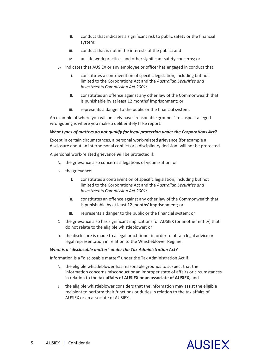- II. conduct that indicates a significant risk to public safety or the financial system;
- III. conduct that is not in the interests of the public; and
- IV. unsafe work practices and other significant safety concerns; or
- b) indicates that AUSIEX or any employee or officer has engaged in conduct that:
	- I. constitutes a contravention of specific legislation, including but not limited to the Corporations Act and the *Australian Securities and Investments Commission Act 2001;*
	- II. constitutes an offence against any other law of the Commonwealth that is punishable by at least 12 months' imprisonment; or
	- III. represents a danger to the public or the financial system.

An example of where you will unlikely have "reasonable grounds" to suspect alleged wrongdoing is where you make a deliberately false report.

## *What types of matters do not qualify for legal protection under the Corporations Act?*

Except in certain circumstances, a personal work-related grievance (for example a disclosure about an interpersonal conflict or a disciplinary decision) will not be protected.

A personal work-related grievance **will** be protected if:

- A. the grievance also concerns allegations of victimisation; or
- B. the grievance:
	- I. constitutes a contravention of specific legislation, including but not limited to the Corporations Act and the *Australian Securities and Investments Commission Act 2001;*
	- II. constitutes an offence against any other law of the Commonwealth that is punishable by at least 12 months' imprisonment; or
	- III. represents a danger to the public or the financial system; or
- C. the grievance also has significant implications for AUSIEX (or another entity) that do not relate to the eligible whistleblower; or
- D. the disclosure is made to a legal practitioner in order to obtain legal advice or legal representation in relation to the Whistleblower Regime.

## *What is a "disclosable matter" under the Tax Administration Act?*

Information is a "disclosable matter" under the Tax Administration Act if:

- A. the eligible whistleblower has reasonable grounds to suspect that the information concerns misconduct or an improper state of affairs or circumstances in relation to the **tax affairs of AUSIEX or an associate of AUSIEX**; and
- B. the eligible whistleblower considers that the information may assist the eligible recipient to perform their functions or duties in relation to the tax affairs of AUSIEX or an associate of AUSIEX.

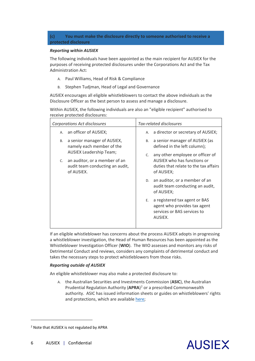**(c) You must make the disclosure directly to someone authorised to receive a protected disclosure**

## *Reporting within AUSIEX*

The following individuals have been appointed as the main recipient for AUSIEX for the purposes of receiving protected disclosures under the Corporations Act and the Tax Administration Act:

- A. Paul Williams, Head of Risk & Compliance
- B. Stephen Tudjman, Head of Legal and Governance

AUSIEX encourages all eligible whistleblowers to contact the above individuals as the Disclosure Officer as the best person to assess and manage a disclosure.

Within AUSIEX, the following individuals are also an "eligible recipient" authorised to receive protected disclosures:

| Corporations Act disclosures                                                                                        | Tax-related disclosures                                                                                                      |  |  |
|---------------------------------------------------------------------------------------------------------------------|------------------------------------------------------------------------------------------------------------------------------|--|--|
| an officer of AUSIEX;<br>A.                                                                                         | A. a director or secretary of AUSIEX;                                                                                        |  |  |
| a senior manager of AUSIEX,<br><b>B.</b><br>namely each member of the                                               | a senior manager of AUSIEX (as<br><b>B.</b><br>defined in the left column);                                                  |  |  |
| <b>AUSIEX Leadership Team;</b><br>c. an auditor, or a member of an<br>audit team conducting an audit,<br>of AUSIEX. | any other employee or officer of<br>C.<br>AUSIEX who has functions or<br>duties that relate to the tax affairs<br>of AUSIEX; |  |  |
|                                                                                                                     | D. an auditor, or a member of an<br>audit team conducting an audit,<br>of AUSIEX;                                            |  |  |
|                                                                                                                     | a registered tax agent or BAS<br>Е.<br>agent who provides tax agent<br>services or BAS services to<br>AUSIEX.                |  |  |

If an eligible whistleblower has concerns about the process AUSIEX adopts in progressing a whistleblower investigation, the Head of Human Resources has been appointed as the Whistleblower Investigation Officer (**WIO**). The WIO assesses and monitors any risks of Detrimental Conduct and reviews, considers any complaints of detrimental conduct and takes the necessary steps to protect whistleblowers from those risks.

## *Reporting outside of AUSIEX*

An eligible whistleblower may also make a protected disclosure to:

A. the Australian Securities and Investments Commission (**ASIC**), the Australian Prudential Regulation Authority (**APRA**) [2](#page-5-0) or a prescribed Commonwealth authority. ASIC has issued information sheets or guides on whistleblowers' rights and protections, which are availabl[e here;](https://asic.gov.au/about-asic/asic-investigations-and-enforcement/whistleblowing/protections-for-corporate-sector-whistleblowers/%22)



 $\overline{a}$ 

<span id="page-5-0"></span><sup>&</sup>lt;sup>2</sup> Note that AUSIEX is not regulated by APRA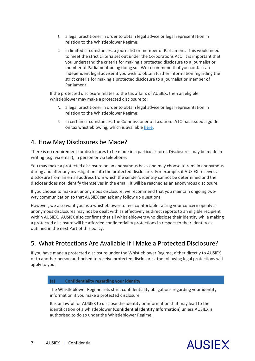- B. a legal practitioner in order to obtain legal advice or legal representation in relation to the Whistleblower Regime;
- C. in limited circumstances, a journalist or member of Parliament. This would need to meet the strict criteria set out under the Corporations Act. It is important that you understand the criteria for making a protected disclosure to a journalist or member of Parliament being doing so. We recommend that you contact an independent legal adviser if you wish to obtain further information regarding the strict criteria for making a protected disclosure to a journalist or member of Parliament.

If the protected disclosure relates to the tax affairs of AUSIEX, then an eligible whistleblower may make a protected disclosure to:

- A. a legal practitioner in order to obtain legal advice or legal representation in relation to the Whistleblower Regime;
- B. in certain circumstances, the Commissioner of Taxation. ATO has issued a guide on tax whistleblowing, which is available [here.](https://www.ato.gov.au/general/gen/whistleblowers/%22)

## <span id="page-6-0"></span>4. How May Disclosures be Made?

There is no requirement for disclosures to be made in a particular form. Disclosures may be made in writing (e.g. via email), in person or via telephone.

You may make a protected disclosure on an anonymous basis and may choose to remain anonymous during and after any investigation into the protected disclosure. For example, if AUSIEX receives a disclosure from an email address from which the sender's identity cannot be determined and the discloser does not identify themselves in the email, it will be reached as an anonymous disclosure.

If you choose to make an anonymous disclosure, we recommend that you maintain ongoing twoway communication so that AUSIEX can ask any follow up questions.

However, we also want you as a whistleblower to feel comfortable raising your concern openly as anonymous disclosures may not be dealt with as effectively as direct reports to an eligible recipient within AUSIEX. AUSIEX also confirms that all whistleblowers who disclose their identity while making a protected disclosure will be afforded confidentiality protections in respect to their identity as outlined in the next Part of this policy.

## <span id="page-6-1"></span>5. What Protections Are Available If I Make a Protected Disclosure?

If you have made a protected disclosure under the Whistleblower Regime, either directly to AUSIEX or to another person authorised to receive protected disclosures, the following legal protections will apply to you.

## **(a) Confidentiality regarding your identity**

The Whistleblower Regime sets strict confidentiality obligations regarding your identity information if you make a protected disclosure.

It is unlawful for AUSIEX to disclose the identity or information that may lead to the identification of a whistleblower (**Confidential Identity Information**) unless AUSIEX is authorised to do so under the Whistleblower Regime.

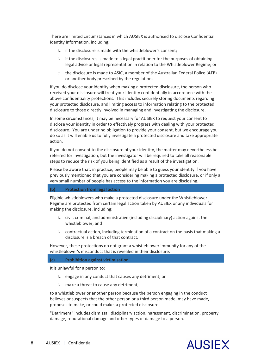There are limited circumstances in which AUSIEX is authorised to disclose Confidential Identity Information, including:

- A. if the disclosure is made with the whistleblower's consent;
- B. if the disclosures is made to a legal practitioner for the purposes of obtaining legal advice or legal representation in relation to the Whistleblower Regime; or
- C. the disclosure is made to ASIC, a member of the Australian Federal Police (**AFP**) or another body prescribed by the regulations.

If you do disclose your identity when making a protected disclosure, the person who received your disclosure will treat your identity confidentially in accordance with the above confidentiality protections. This includes securely storing documents regarding your protected disclosure, and limiting access to information relating to the protected disclosure to those directly involved in managing and investigating the disclosure.

In some circumstances, it may be necessary for AUSIEX to request your consent to disclose your identity in order to effectively progress with dealing with your protected disclosure. You are under no obligation to provide your consent, but we encourage you do so as it will enable us to fully investigate a protected disclosure and take appropriate action.

If you do not consent to the disclosure of your identity, the matter may nevertheless be referred for investigation, but the investigator will be required to take all reasonable steps to reduce the risk of you being identified as a result of the investigation.

Please be aware that, in practice, people may be able to guess your identity if you have previously mentioned that you are considering making a protected disclosure, or if only a very small number of people has access to the information you are disclosing.

## **(b) Protection from legal action**

Eligible whistleblowers who make a protected disclosure under the Whistleblower Regime are protected from certain legal action taken by AUSIEX or any individuals for making the disclosure, including:

- A. civil, criminal, and administrative (including disciplinary) action against the whistleblower; and
- B. contractual action, including termination of a contract on the basis that making a disclosure is a breach of that contract.

However, these protections do not grant a whistleblower immunity for any of the whistleblower's misconduct that is revealed in their disclosure.

## **(c) Prohibition against victimisation**

It is unlawful for a person to:

- A. engage in any conduct that causes any detriment; or
- B. make a threat to cause any detriment,

to a whistleblower or another person because the person engaging in the conduct believes or suspects that the other person or a third person made, may have made, proposes to make, or could make, a protected disclosure.

"Detriment" includes dismissal, disciplinary action, harassment, discrimination, property damage, reputational damage and other types of damage to a person.

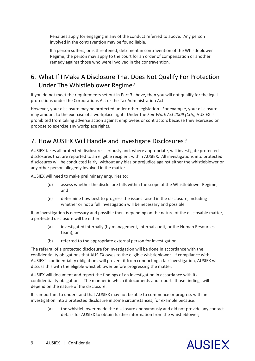Penalties apply for engaging in any of the conduct referred to above. Any person involved in the contravention may be found liable.

If a person suffers, or is threatened, detriment in contravention of the Whistleblower Regime, the person may apply to the court for an order of compensation or another remedy against those who were involved in the contravention.

# <span id="page-8-0"></span>6. What If I Make A Disclosure That Does Not Qualify For Protection Under The Whistleblower Regime?

If you do not meet the requirements set out in Part 3 above, then you will not qualify for the legal protections under the Corporations Act or the Tax Administration Act.

However, your disclosure may be protected under other legislation. For example, your disclosure may amount to the exercise of a workplace right. Under the *Fair Work Act 2009 (Cth),* AUSIEX is prohibited from taking adverse action against employees or contractors because they exercised or propose to exercise any workplace rights.

# <span id="page-8-1"></span>7. How AUSIEX Will Handle and Investigate Disclosures?

AUSIEX takes all protected disclosures seriously and, where appropriate, will investigate protected disclosures that are reported to an eligible recipient within AUSIEX. All investigations into protected disclosures will be conducted fairly, without any bias or prejudice against either the whistleblower or any other person allegedly involved in the matter.

AUSIEX will need to make preliminary enquiries to:

- (d) assess whether the disclosure falls within the scope of the Whistleblower Regime; and
- (e) determine how best to progress the issues raised in the disclosure, including whether or not a full investigation will be necessary and possible.

If an investigation is necessary and possible then, depending on the nature of the disclosable matter, a protected disclosure will be either:

- (a) investigated internally (by management, internal audit, or the Human Resources team); or
- (b) referred to the appropriate external person for investigation.

The referral of a protected disclosure for investigation will be done in accordance with the confidentiality obligations that AUSIEX owes to the eligible whistleblower. If compliance with AUSIEX's confidentiality obligations will prevent it from conducting a fair investigation, AUSIEX will discuss this with the eligible whistleblower before progressing the matter.

AUSIEX will document and report the findings of an investigation in accordance with its confidentiality obligations. The manner in which it documents and reports those findings will depend on the nature of the disclosure.

It is important to understand that AUSIEX may not be able to commence or progress with an investigation into a protected disclosure in some circumstances, for example because:

(a) the whistleblower made the disclosure anonymously and did not provide any contact details for AUSIEX to obtain further information from the whistleblower;

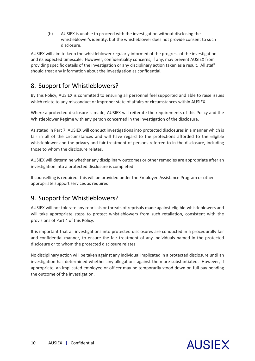(b) AUSIEX is unable to proceed with the investigation without disclosing the whistleblower's identity, but the whistleblower does not provide consent to such disclosure.

AUSIEX will aim to keep the whistleblower regularly informed of the progress of the investigation and its expected timescale. However, confidentiality concerns, if any, may prevent AUSIEX from providing specific details of the investigation or any disciplinary action taken as a result. All staff should treat any information about the investigation as confidential.

# <span id="page-9-0"></span>8. Support for Whistleblowers?

By this Policy, AUSIEX is committed to ensuring all personnel feel supported and able to raise issues which relate to any misconduct or improper state of affairs or circumstances within AUSIEX.

Where a protected disclosure is made, AUSIEX will reiterate the requirements of this Policy and the Whistleblower Regime with any person concerned in the investigation of the disclosure.

As stated in Part 7, AUSIEX will conduct investigations into protected disclosures in a manner which is fair in all of the circumstances and will have regard to the protections afforded to the eligible whistleblower and the privacy and fair treatment of persons referred to in the disclosure, including those to whom the disclosure relates.

AUSIEX will determine whether any disciplinary outcomes or other remedies are appropriate after an investigation into a protected disclosure is completed.

If counselling is required, this will be provided under the Employee Assistance Program or other appropriate support services as required.

# <span id="page-9-1"></span>9. Support for Whistleblowers?

AUSIEX will not tolerate any reprisals or threats of reprisals made against eligible whistleblowers and will take appropriate steps to protect whistleblowers from such retaliation, consistent with the provisions of Part 4 of this Policy.

It is important that all investigations into protected disclosures are conducted in a procedurally fair and confidential manner, to ensure the fair treatment of any individuals named in the protected disclosure or to whom the protected disclosure relates.

No disciplinary action will be taken against any individual implicated in a protected disclosure until an investigation has determined whether any allegations against them are substantiated. However, if appropriate, an implicated employee or officer may be temporarily stood down on full pay pending the outcome of the investigation.